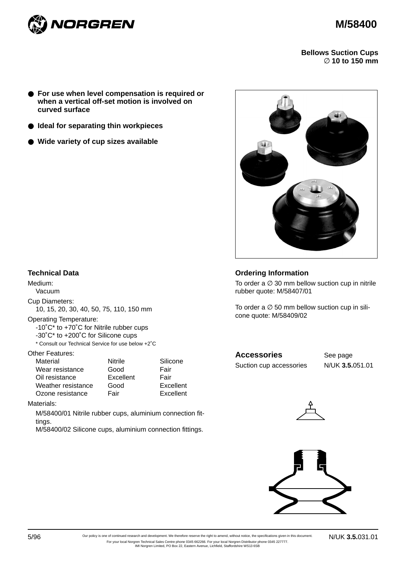



**Bellows Suction Cups**  ∅ **10 to 150 mm**

- **For use when level compensation is required or when a vertical off-set motion is involved on curved surface**
- **Ideal for separating thin workpieces**
- **Wide variety of cup sizes available**



#### **Technical Data**

Medium: Vacuum

Cup Diameters:

10, 15, 20, 30, 40, 50, 75, 110, 150 mm

Operating Temperature:

-10˚C\* to +70˚C for Nitrile rubber cups

-30˚C\* to +200˚C for Silicone cups

\* Consult our Technical Service for use below +2˚C

Other Features:

| Material           | Nitrile   | Silicone  |
|--------------------|-----------|-----------|
| Wear resistance    | Good      | Fair      |
| Oil resistance     | Excellent | Fair      |
| Weather resistance | Good      | Excellent |
| Ozone resistance   | Fair      | Excellent |

Materials:

M/58400/01 Nitrile rubber cups, aluminium connection fittings.

M/58400/02 Silicone cups, aluminium connection fittings.

## **Ordering Information**

To order a  $\varnothing$  30 mm bellow suction cup in nitrile rubber quote: M/58407/01

To order a  $\varnothing$  50 mm bellow suction cup in silicone quote: M/58409/02

# Accessories See page

Suction cup accessories N/UK **3.5.**051.01





5/96 N/UK **3.5.**031.01 Our policy is one of continued research and development. We therefore reserve the right to amend, without notice, the specifications given in this document. For your local Norgren Technical Sales Centre phone 0345 662266. For your local Norgren Distributor phone 0345 227777. IMI Norgren Limited, PO Box 22, Eastern Avenue, Lichfield, Staffordshire WS13 6SB